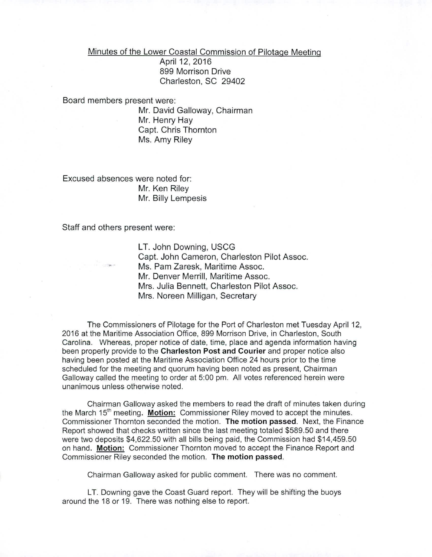## Minutes of the Lower Coastal Commission of Pilotage Meeting

April 12, 2016 899 Morrison Drive Charleston, SC 29402

Board members present were:

Mr. David Galloway, Chairman Mr. Henry Hay Capt. Chris Thornton Ms. Amy Riley

Excused absences were noted for: Mr. Ken Riley Mr. Billy Lempesis

Staff and others present were:

LT. John Downing, USCG Capt. John Cameron, Charleston Pilot Assoc. Ms. Pam Zaresk, Maritime Assoc. Mr. Denver Merrill, Maritime Assoc. Mrs. Julia Bennett, Charleston Pilot Assoc. Mrs. Noreen Milligan, Secretary

The Commissioners of Pilotage for the Port of Charleston met Tuesday April 12, 2016 at the Maritime Association Office, 899 Morrison Drive, in Charleston, South Carolina. Whereas, proper notice of date, time, place and agenda information having been properly provide to the Charleston Post and Courier and proper notice also having been posted at the Maritime Association Office 24 hours prior to the time scheduled for the meeting and quorum having been noted as present, Chairman Galloway called the meeting to order at 5:00 pm. All votes referenced herein were unanimous unless otherwise noted.

Chairman Galloway asked the members to read the draft of minutes taken during the March  $15<sup>th</sup>$  meeting. Motion: Commissioner Riley moved to accept the minutes. Commissioner Thornton seconded the motion. The motion passed. Next, the Finance Report showed that checks written since the last meeting totaled \$589.50 and there were two deposits \$4,622.50 with all bills being paid, the Commission had \$14,459.50 on hand. Motion: Commissioner Thornton moved to accept the Finance Report and Commissioner Riley seconded the motion. The motion passed.

Chairman Galloway asked for public comment. There was no comment.

LT. Downing gave the Coast Guard report. They will be shifting the buoys around the 18 or 19. There was nothing else to report.